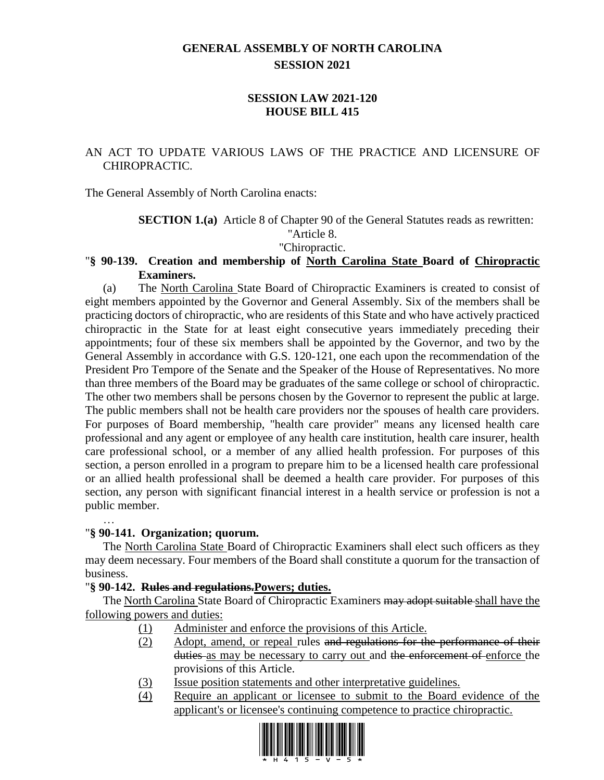# **GENERAL ASSEMBLY OF NORTH CAROLINA SESSION 2021**

# **SESSION LAW 2021-120 HOUSE BILL 415**

# AN ACT TO UPDATE VARIOUS LAWS OF THE PRACTICE AND LICENSURE OF CHIROPRACTIC.

The General Assembly of North Carolina enacts:

**SECTION 1.(a)** Article 8 of Chapter 90 of the General Statutes reads as rewritten:

"Article 8.

"Chiropractic.

### "**§ 90-139. Creation and membership of North Carolina State Board of Chiropractic Examiners.**

(a) The North Carolina State Board of Chiropractic Examiners is created to consist of eight members appointed by the Governor and General Assembly. Six of the members shall be practicing doctors of chiropractic, who are residents of this State and who have actively practiced chiropractic in the State for at least eight consecutive years immediately preceding their appointments; four of these six members shall be appointed by the Governor, and two by the General Assembly in accordance with G.S. 120-121, one each upon the recommendation of the President Pro Tempore of the Senate and the Speaker of the House of Representatives. No more than three members of the Board may be graduates of the same college or school of chiropractic. The other two members shall be persons chosen by the Governor to represent the public at large. The public members shall not be health care providers nor the spouses of health care providers. For purposes of Board membership, "health care provider" means any licensed health care professional and any agent or employee of any health care institution, health care insurer, health care professional school, or a member of any allied health profession. For purposes of this section, a person enrolled in a program to prepare him to be a licensed health care professional or an allied health professional shall be deemed a health care provider. For purposes of this section, any person with significant financial interest in a health service or profession is not a public member.

# "**§ 90-141. Organization; quorum.**

…

The North Carolina State Board of Chiropractic Examiners shall elect such officers as they may deem necessary. Four members of the Board shall constitute a quorum for the transaction of business.

# "**§ 90-142. Rules and regulations.Powers; duties.**

The North Carolina State Board of Chiropractic Examiners may adopt suitable shall have the following powers and duties:

- (1) Administer and enforce the provisions of this Article.
- (2) Adopt, amend, or repeal rules and regulations for the performance of their duties as may be necessary to carry out and the enforcement of enforce the provisions of this Article.
- (3) Issue position statements and other interpretative guidelines.
- (4) Require an applicant or licensee to submit to the Board evidence of the applicant's or licensee's continuing competence to practice chiropractic.

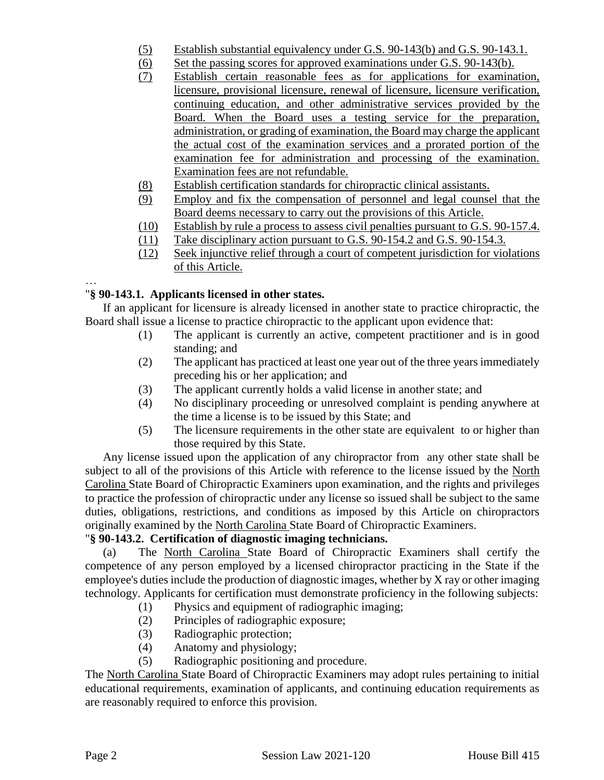- (5) Establish substantial equivalency under G.S. 90-143(b) and G.S. 90-143.1.
- (6) Set the passing scores for approved examinations under G.S. 90-143(b).
- (7) Establish certain reasonable fees as for applications for examination, licensure, provisional licensure, renewal of licensure, licensure verification, continuing education, and other administrative services provided by the Board. When the Board uses a testing service for the preparation, administration, or grading of examination, the Board may charge the applicant the actual cost of the examination services and a prorated portion of the examination fee for administration and processing of the examination. Examination fees are not refundable.
- (8) Establish certification standards for chiropractic clinical assistants.
- (9) Employ and fix the compensation of personnel and legal counsel that the Board deems necessary to carry out the provisions of this Article.
- (10) Establish by rule a process to assess civil penalties pursuant to G.S. 90-157.4.
- (11) Take disciplinary action pursuant to G.S. 90-154.2 and G.S. 90-154.3.
- (12) Seek injunctive relief through a court of competent jurisdiction for violations of this Article.

### … "**§ 90-143.1. Applicants licensed in other states.**

If an applicant for licensure is already licensed in another state to practice chiropractic, the Board shall issue a license to practice chiropractic to the applicant upon evidence that:

- (1) The applicant is currently an active, competent practitioner and is in good standing; and
- (2) The applicant has practiced at least one year out of the three years immediately preceding his or her application; and
- (3) The applicant currently holds a valid license in another state; and
- (4) No disciplinary proceeding or unresolved complaint is pending anywhere at the time a license is to be issued by this State; and
- (5) The licensure requirements in the other state are equivalent to or higher than those required by this State.

Any license issued upon the application of any chiropractor from any other state shall be subject to all of the provisions of this Article with reference to the license issued by the North Carolina State Board of Chiropractic Examiners upon examination, and the rights and privileges to practice the profession of chiropractic under any license so issued shall be subject to the same duties, obligations, restrictions, and conditions as imposed by this Article on chiropractors originally examined by the North Carolina State Board of Chiropractic Examiners.

# "**§ 90-143.2. Certification of diagnostic imaging technicians.**

(a) The North Carolina State Board of Chiropractic Examiners shall certify the competence of any person employed by a licensed chiropractor practicing in the State if the employee's duties include the production of diagnostic images, whether by X ray or other imaging technology. Applicants for certification must demonstrate proficiency in the following subjects:

- (1) Physics and equipment of radiographic imaging;
- (2) Principles of radiographic exposure;
- (3) Radiographic protection;
- (4) Anatomy and physiology;
- (5) Radiographic positioning and procedure.

The North Carolina State Board of Chiropractic Examiners may adopt rules pertaining to initial educational requirements, examination of applicants, and continuing education requirements as are reasonably required to enforce this provision.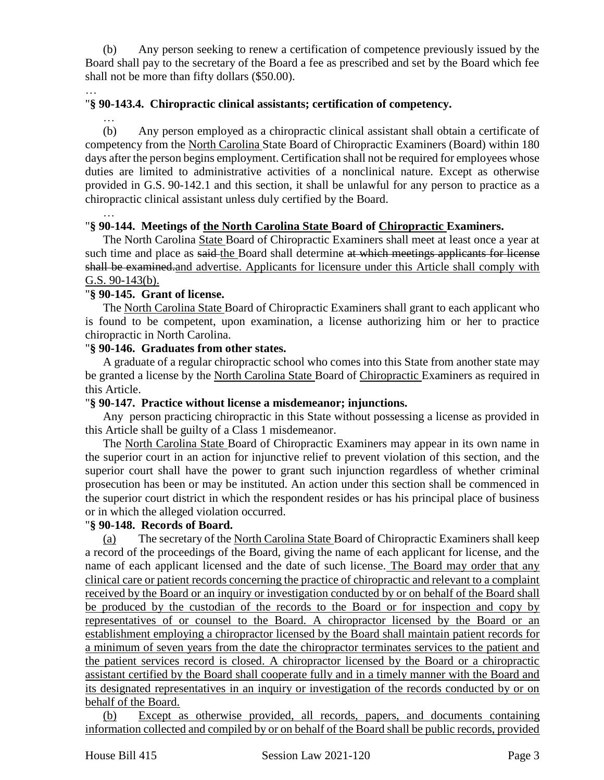(b) Any person seeking to renew a certification of competence previously issued by the Board shall pay to the secretary of the Board a fee as prescribed and set by the Board which fee shall not be more than fifty dollars (\$50.00).

#### … "**§ 90-143.4. Chiropractic clinical assistants; certification of competency.**

…

(b) Any person employed as a chiropractic clinical assistant shall obtain a certificate of competency from the North Carolina State Board of Chiropractic Examiners (Board) within 180 days after the person begins employment. Certification shall not be required for employees whose duties are limited to administrative activities of a nonclinical nature. Except as otherwise provided in G.S. 90-142.1 and this section, it shall be unlawful for any person to practice as a chiropractic clinical assistant unless duly certified by the Board.

…

### "**§ 90-144. Meetings of the North Carolina State Board of Chiropractic Examiners.**

The North Carolina State Board of Chiropractic Examiners shall meet at least once a year at such time and place as said-the Board shall determine at which meetings applicants for license shall be examined.and advertise. Applicants for licensure under this Article shall comply with G.S. 90-143(b).

### "**§ 90-145. Grant of license.**

The North Carolina State Board of Chiropractic Examiners shall grant to each applicant who is found to be competent, upon examination, a license authorizing him or her to practice chiropractic in North Carolina.

### "**§ 90-146. Graduates from other states.**

A graduate of a regular chiropractic school who comes into this State from another state may be granted a license by the North Carolina State Board of Chiropractic Examiners as required in this Article.

### "**§ 90-147. Practice without license a misdemeanor; injunctions.**

Any person practicing chiropractic in this State without possessing a license as provided in this Article shall be guilty of a Class 1 misdemeanor.

The North Carolina State Board of Chiropractic Examiners may appear in its own name in the superior court in an action for injunctive relief to prevent violation of this section, and the superior court shall have the power to grant such injunction regardless of whether criminal prosecution has been or may be instituted. An action under this section shall be commenced in the superior court district in which the respondent resides or has his principal place of business or in which the alleged violation occurred.

# "**§ 90-148. Records of Board.**

(a) The secretary of the North Carolina State Board of Chiropractic Examiners shall keep a record of the proceedings of the Board, giving the name of each applicant for license, and the name of each applicant licensed and the date of such license. The Board may order that any clinical care or patient records concerning the practice of chiropractic and relevant to a complaint received by the Board or an inquiry or investigation conducted by or on behalf of the Board shall be produced by the custodian of the records to the Board or for inspection and copy by representatives of or counsel to the Board. A chiropractor licensed by the Board or an establishment employing a chiropractor licensed by the Board shall maintain patient records for a minimum of seven years from the date the chiropractor terminates services to the patient and the patient services record is closed. A chiropractor licensed by the Board or a chiropractic assistant certified by the Board shall cooperate fully and in a timely manner with the Board and its designated representatives in an inquiry or investigation of the records conducted by or on behalf of the Board.

(b) Except as otherwise provided, all records, papers, and documents containing information collected and compiled by or on behalf of the Board shall be public records, provided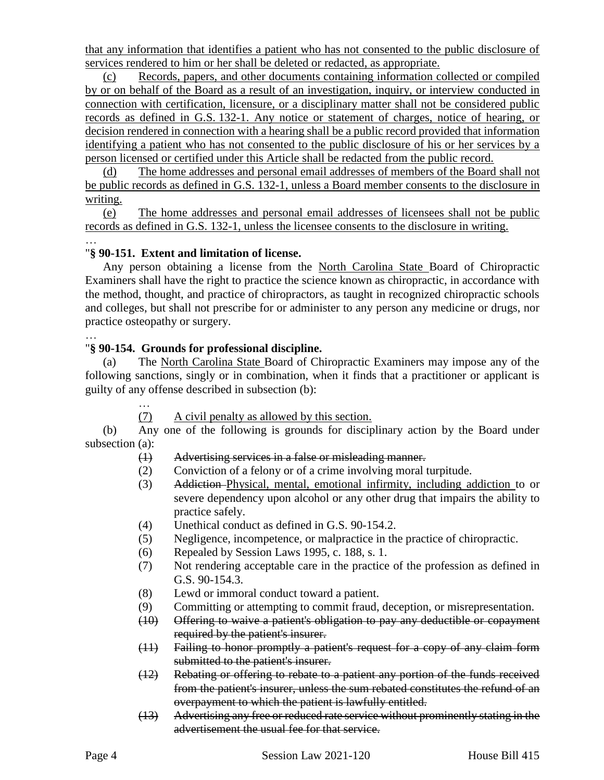that any information that identifies a patient who has not consented to the public disclosure of services rendered to him or her shall be deleted or redacted, as appropriate.

(c) Records, papers, and other documents containing information collected or compiled by or on behalf of the Board as a result of an investigation, inquiry, or interview conducted in connection with certification, licensure, or a disciplinary matter shall not be considered public records as defined in G.S. 132-1. Any notice or statement of charges, notice of hearing, or decision rendered in connection with a hearing shall be a public record provided that information identifying a patient who has not consented to the public disclosure of his or her services by a person licensed or certified under this Article shall be redacted from the public record.

(d) The home addresses and personal email addresses of members of the Board shall not be public records as defined in G.S. 132-1, unless a Board member consents to the disclosure in writing.

(e) The home addresses and personal email addresses of licensees shall not be public records as defined in G.S. 132-1, unless the licensee consents to the disclosure in writing.

#### … "**§ 90-151. Extent and limitation of license.**

Any person obtaining a license from the North Carolina State Board of Chiropractic Examiners shall have the right to practice the science known as chiropractic, in accordance with the method, thought, and practice of chiropractors, as taught in recognized chiropractic schools and colleges, but shall not prescribe for or administer to any person any medicine or drugs, nor practice osteopathy or surgery.

### "**§ 90-154. Grounds for professional discipline.**

(a) The North Carolina State Board of Chiropractic Examiners may impose any of the following sanctions, singly or in combination, when it finds that a practitioner or applicant is guilty of any offense described in subsection (b):

(7) A civil penalty as allowed by this section.

(b) Any one of the following is grounds for disciplinary action by the Board under subsection (a):

### (1) Advertising services in a false or misleading manner.

- (2) Conviction of a felony or of a crime involving moral turpitude.
- (3) Addiction Physical, mental, emotional infirmity, including addiction to or severe dependency upon alcohol or any other drug that impairs the ability to practice safely.
- (4) Unethical conduct as defined in G.S. 90-154.2.
- (5) Negligence, incompetence, or malpractice in the practice of chiropractic.
- (6) Repealed by Session Laws 1995, c. 188, s. 1.
- (7) Not rendering acceptable care in the practice of the profession as defined in G.S. 90-154.3.
- (8) Lewd or immoral conduct toward a patient.
- (9) Committing or attempting to commit fraud, deception, or misrepresentation.
- (10) Offering to waive a patient's obligation to pay any deductible or copayment required by the patient's insurer.
- (11) Failing to honor promptly a patient's request for a copy of any claim form submitted to the patient's insurer.
- (12) Rebating or offering to rebate to a patient any portion of the funds received from the patient's insurer, unless the sum rebated constitutes the refund of an overpayment to which the patient is lawfully entitled.
- (13) Advertising any free or reduced rate service without prominently stating in the advertisement the usual fee for that service.

…

…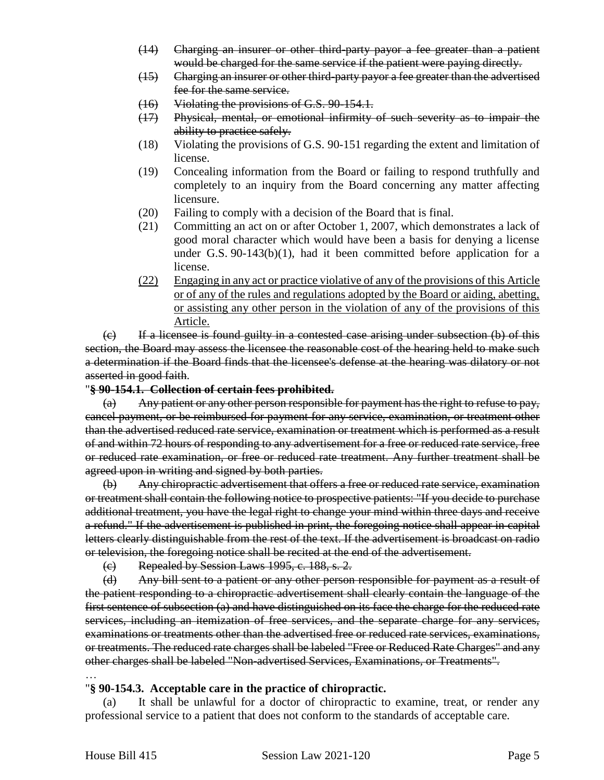- (14) Charging an insurer or other third-party payor a fee greater than a patient would be charged for the same service if the patient were paying directly.
- (15) Charging an insurer or other third-party payor a fee greater than the advertised fee for the same service.
- (16) Violating the provisions of G.S. 90-154.1.
- (17) Physical, mental, or emotional infirmity of such severity as to impair the ability to practice safely.
- (18) Violating the provisions of G.S. 90-151 regarding the extent and limitation of license.
- (19) Concealing information from the Board or failing to respond truthfully and completely to an inquiry from the Board concerning any matter affecting licensure.
- (20) Failing to comply with a decision of the Board that is final.
- (21) Committing an act on or after October 1, 2007, which demonstrates a lack of good moral character which would have been a basis for denying a license under G.S.  $90-143(b)(1)$ , had it been committed before application for a license.
- (22) Engaging in any act or practice violative of any of the provisions of this Article or of any of the rules and regulations adopted by the Board or aiding, abetting, or assisting any other person in the violation of any of the provisions of this Article.

(c) If a licensee is found guilty in a contested case arising under subsection (b) of this section, the Board may assess the licensee the reasonable cost of the hearing held to make such a determination if the Board finds that the licensee's defense at the hearing was dilatory or not asserted in good faith.

#### "**§ 90-154.1. Collection of certain fees prohibited.**

(a) Any patient or any other person responsible for payment has the right to refuse to pay, cancel payment, or be reimbursed for payment for any service, examination, or treatment other than the advertised reduced rate service, examination or treatment which is performed as a result of and within 72 hours of responding to any advertisement for a free or reduced rate service, free or reduced rate examination, or free or reduced rate treatment. Any further treatment shall be agreed upon in writing and signed by both parties.

(b) Any chiropractic advertisement that offers a free or reduced rate service, examination or treatment shall contain the following notice to prospective patients: "If you decide to purchase additional treatment, you have the legal right to change your mind within three days and receive a refund." If the advertisement is published in print, the foregoing notice shall appear in capital letters clearly distinguishable from the rest of the text. If the advertisement is broadcast on radio or television, the foregoing notice shall be recited at the end of the advertisement.

(c) Repealed by Session Laws 1995, c. 188, s. 2.

(d) Any bill sent to a patient or any other person responsible for payment as a result of the patient responding to a chiropractic advertisement shall clearly contain the language of the first sentence of subsection (a) and have distinguished on its face the charge for the reduced rate services, including an itemization of free services, and the separate charge for any services, examinations or treatments other than the advertised free or reduced rate services, examinations, or treatments. The reduced rate charges shall be labeled "Free or Reduced Rate Charges" and any other charges shall be labeled "Non-advertised Services, Examinations, or Treatments".

#### … "**§ 90-154.3. Acceptable care in the practice of chiropractic.**

(a) It shall be unlawful for a doctor of chiropractic to examine, treat, or render any professional service to a patient that does not conform to the standards of acceptable care.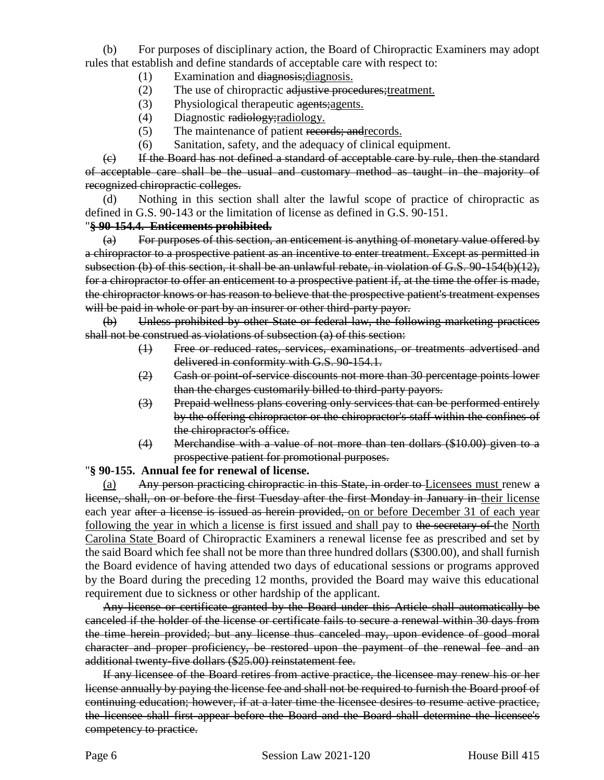(b) For purposes of disciplinary action, the Board of Chiropractic Examiners may adopt rules that establish and define standards of acceptable care with respect to:

- (1) Examination and diagnosis;diagnosis.
- (2) The use of chiropractic adjustive procedures; treatment.
- (3) Physiological therapeutic agents; agents.
- (4) Diagnostic radiology; radiology.
- (5) The maintenance of patient records; and records.
- (6) Sanitation, safety, and the adequacy of clinical equipment.

(c) If the Board has not defined a standard of acceptable care by rule, then the standard of acceptable care shall be the usual and customary method as taught in the majority of recognized chiropractic colleges.

(d) Nothing in this section shall alter the lawful scope of practice of chiropractic as defined in G.S. 90-143 or the limitation of license as defined in G.S. 90-151.

### "**§ 90-154.4. Enticements prohibited.**

 $(a)$  For purposes of this section, an enticement is anything of monetary value offered by a chiropractor to a prospective patient as an incentive to enter treatment. Except as permitted in subsection (b) of this section, it shall be an unlawful rebate, in violation of G.S. 90-154(b)(12), for a chiropractor to offer an enticement to a prospective patient if, at the time the offer is made, the chiropractor knows or has reason to believe that the prospective patient's treatment expenses will be paid in whole or part by an insurer or other third-party payor.

(b) Unless prohibited by other State or federal law, the following marketing practices shall not be construed as violations of subsection (a) of this section:

- (1) Free or reduced rates, services, examinations, or treatments advertised and delivered in conformity with G.S. 90-154.1.
- (2) Cash or point-of-service discounts not more than 30 percentage points lower than the charges customarily billed to third-party payors.
- (3) Prepaid wellness plans covering only services that can be performed entirely by the offering chiropractor or the chiropractor's staff within the confines of the chiropractor's office.
- (4) Merchandise with a value of not more than ten dollars (\$10.00) given to a prospective patient for promotional purposes.

"**§ 90-155. Annual fee for renewal of license.**

(a) Any person practicing chiropractic in this State, in order to Licensees must renew a license, shall, on or before the first Tuesday after the first Monday in January in their license each year after a license is issued as herein provided, on or before December 31 of each year following the year in which a license is first issued and shall pay to the secretary of the North Carolina State Board of Chiropractic Examiners a renewal license fee as prescribed and set by the said Board which fee shall not be more than three hundred dollars (\$300.00), and shall furnish the Board evidence of having attended two days of educational sessions or programs approved by the Board during the preceding 12 months, provided the Board may waive this educational requirement due to sickness or other hardship of the applicant.

Any license or certificate granted by the Board under this Article shall automatically be canceled if the holder of the license or certificate fails to secure a renewal within 30 days from the time herein provided; but any license thus canceled may, upon evidence of good moral character and proper proficiency, be restored upon the payment of the renewal fee and an additional twenty-five dollars (\$25.00) reinstatement fee.

If any licensee of the Board retires from active practice, the licensee may renew his or her license annually by paying the license fee and shall not be required to furnish the Board proof of continuing education; however, if at a later time the licensee desires to resume active practice, the licensee shall first appear before the Board and the Board shall determine the licensee's competency to practice.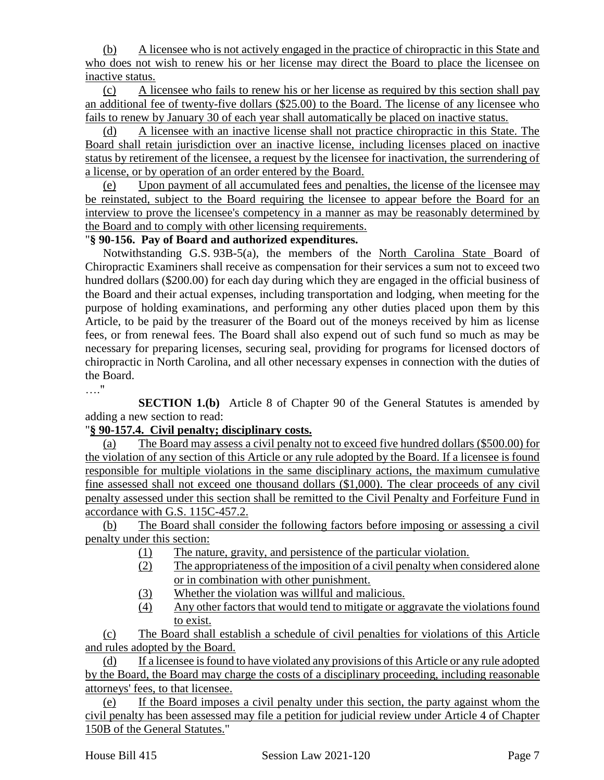(b) A licensee who is not actively engaged in the practice of chiropractic in this State and who does not wish to renew his or her license may direct the Board to place the licensee on inactive status.

(c) A licensee who fails to renew his or her license as required by this section shall pay an additional fee of twenty-five dollars (\$25.00) to the Board. The license of any licensee who fails to renew by January 30 of each year shall automatically be placed on inactive status.

(d) A licensee with an inactive license shall not practice chiropractic in this State. The Board shall retain jurisdiction over an inactive license, including licenses placed on inactive status by retirement of the licensee, a request by the licensee for inactivation, the surrendering of a license, or by operation of an order entered by the Board.

(e) Upon payment of all accumulated fees and penalties, the license of the licensee may be reinstated, subject to the Board requiring the licensee to appear before the Board for an interview to prove the licensee's competency in a manner as may be reasonably determined by the Board and to comply with other licensing requirements.

# "**§ 90-156. Pay of Board and authorized expenditures.**

Notwithstanding G.S. 93B-5(a), the members of the North Carolina State Board of Chiropractic Examiners shall receive as compensation for their services a sum not to exceed two hundred dollars (\$200.00) for each day during which they are engaged in the official business of the Board and their actual expenses, including transportation and lodging, when meeting for the purpose of holding examinations, and performing any other duties placed upon them by this Article, to be paid by the treasurer of the Board out of the moneys received by him as license fees, or from renewal fees. The Board shall also expend out of such fund so much as may be necessary for preparing licenses, securing seal, providing for programs for licensed doctors of chiropractic in North Carolina, and all other necessary expenses in connection with the duties of the Board.

…."

**SECTION 1.(b)** Article 8 of Chapter 90 of the General Statutes is amended by adding a new section to read:

# "**§ 90-157.4. Civil penalty; disciplinary costs.**

(a) The Board may assess a civil penalty not to exceed five hundred dollars (\$500.00) for the violation of any section of this Article or any rule adopted by the Board. If a licensee is found responsible for multiple violations in the same disciplinary actions, the maximum cumulative fine assessed shall not exceed one thousand dollars (\$1,000). The clear proceeds of any civil penalty assessed under this section shall be remitted to the Civil Penalty and Forfeiture Fund in accordance with G.S. 115C-457.2.

(b) The Board shall consider the following factors before imposing or assessing a civil penalty under this section:

- (1) The nature, gravity, and persistence of the particular violation.
- (2) The appropriateness of the imposition of a civil penalty when considered alone or in combination with other punishment.
- (3) Whether the violation was willful and malicious.
- (4) Any other factors that would tend to mitigate or aggravate the violations found to exist.

(c) The Board shall establish a schedule of civil penalties for violations of this Article and rules adopted by the Board.

(d) If a licensee is found to have violated any provisions of this Article or any rule adopted by the Board, the Board may charge the costs of a disciplinary proceeding, including reasonable attorneys' fees, to that licensee.

(e) If the Board imposes a civil penalty under this section, the party against whom the civil penalty has been assessed may file a petition for judicial review under Article 4 of Chapter 150B of the General Statutes."